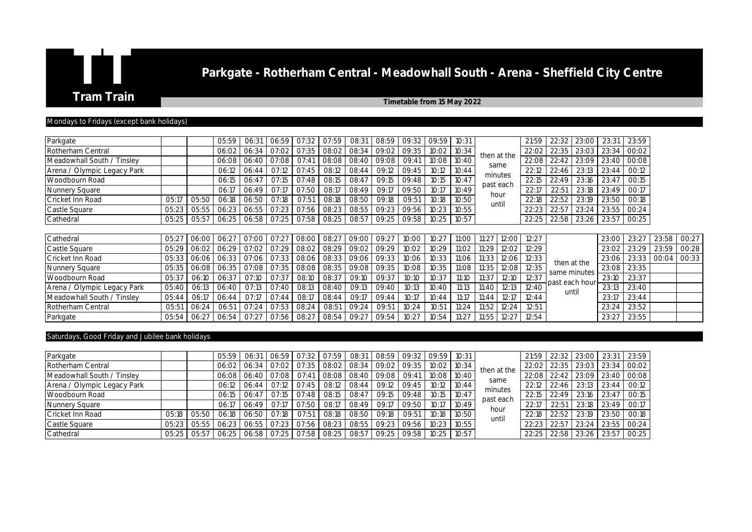## **Parkgate - Rotherham Central - Meadowhall South - Arena - Sheffield City Centre**<br>Tram Train Train

**Timetable from 15 May 2022** 

## Mondays to Fridays (except bank holidays)

| Parkgate                    |       |             | 05:59       | 06:31 | 06:59       | 07:32 | 07:59 | 08:31                 | 08:59       | 09:32 | 09:59 | 10:31 |       |             | 21:59 | 22:32 | 23:00          | 23:31 | 23:59 |       |       |
|-----------------------------|-------|-------------|-------------|-------|-------------|-------|-------|-----------------------|-------------|-------|-------|-------|-------|-------------|-------|-------|----------------|-------|-------|-------|-------|
| Rotherham Central           |       |             | 06:02       | 06:34 | 07:02       | 07:35 | 08:02 | 08:34                 | 09:02       | 09:35 | 10:02 | 10:34 |       | then at the | 22:02 | 22:35 | 23:03          | 23:34 | 00:02 |       |       |
| Meadowhall South / Tinsley  |       |             | 06:08       | 06:40 | 07:08       | 07:41 | 08:08 | 08:40                 | 09:08       | 09:41 | 10:08 | 10:40 |       | same        | 22:08 | 22:42 | 23:09          | 23:40 | 00:08 |       |       |
| Arena / Olympic Legacy Park |       |             | 06:12       | 06:44 | 07:12       | 07:45 | 08:12 | 08:44                 | 09:12       | 09:45 | 10:12 | 10:44 |       | minutes     | 22:12 | 22:46 | 23:13          | 23:44 | 00:12 |       |       |
| Woodbourn Road              |       |             | 06:15       | 06:47 | 07:15       | 07:48 | 08:15 | 08:47                 | 09:15       | 09:48 | 10:15 | 10:47 |       | past each   | 22:15 | 22:49 | 23:16          | 23:47 | 00:15 |       |       |
| Nunnery Square              |       |             | 06:17       | 06:49 | 07:17       | 07:50 | 08:17 | 08:49                 | 09:17       | 09:50 | 10:17 | 10:49 |       | hour        | 22:17 | 22:51 | 23:18          | 23:49 | 00:17 |       |       |
| Cricket Inn Road            | 05:17 | 05:50       | 06:18       | 06:50 | O7:18       | 07:51 | 08:18 | 08:50                 | 09:18       | 09:51 | 10:18 | 10:50 |       | until       | 22:18 | 22:52 | 23:19          | 23:50 | 00:18 |       |       |
| Castle Square               | 05:23 | 05:55       | 06:23       | 06:55 | 07:23       | 07:56 | 08:23 | 08:55                 | 09:23       | 09:56 | 10:23 | 10:55 |       |             | 22:23 | 22:57 | 23:24          | 23:55 | 00:24 |       |       |
| Cathedral                   | 05:25 | 05:57       | 06:25       |       | 06:58 07:25 | 07:58 | 08:25 |                       | 08:57 09:25 | 09:58 | 10:25 | 10:57 |       |             | 22:25 | 22:58 | 23:26          | 23:57 | 00:25 |       |       |
|                             |       |             |             |       |             |       |       |                       |             |       |       |       |       |             |       |       |                |       |       |       |       |
| Cathedral                   | 05:27 | 06:00 06:27 |             | 07:00 | 07:27       | 08:00 | 08:27 | 09:00                 | 09:27       | 10:00 | 10:27 | 11:00 | 11:27 | 12:00       | 12:27 |       |                | 23:00 | 23:27 | 23:58 | 00:27 |
| Castle Square               | 05:29 |             | 06:02 06:29 | 07:02 | 07:29       | 08:02 | 08:29 | 09:02 09:29           |             | 10:02 | 10:29 | 11:02 | 11:29 | 12:02       | 12:29 |       |                | 23:02 | 23:29 | 23:59 | 00:28 |
| Cricket Inn Road            | 05:33 | 06:06       | 06:33       | 07:06 | 07:33       | 08:06 |       | 08:33   09:06   09:33 |             | 10:06 | 10:33 | 11:06 |       | 11:33 12:06 | 12:33 |       | then at the    | 23:06 | 23:33 | 00:04 | 00:33 |
| Nunnery Square              | 05:35 | 06:08       | 06:35       | 07:08 | 07:35       | 08:08 | 08:35 | 09:08                 | 09:35       | 10:08 | 10:35 | 11:08 | 11:35 | 12:08       | 12:35 |       | same minutes   | 23:08 | 23:35 |       |       |
| Woodbourn Road              | 05:37 | 06:10       | 06:37       | O7:10 | 07:37       | 08:10 | 08:37 | 09:10                 | 09:37       | 10:10 | 10:37 | 11:10 | 11:37 | 12:10       | 12:37 |       | past each hour | 23:10 | 23:37 |       |       |
| Arena / Olympic Legacy Park | 05:40 | 06:13       | 06:40       | 07:13 | 07:40       | 08:13 | 08:40 | 09:13                 | 09:40       | 10:13 | 10:40 | 11:13 | 11:40 | 12:13       | 12:40 |       | until          | 23:13 | 23:40 |       |       |
| Meadowhall South / Tinsley  | 05:44 | 06:17       | 06:44       | 07:17 | 07:44       | 08:17 | 08:44 | 09:17                 | 09:44       | 10:17 | 10:44 | 11:17 | 11:44 | 12:17       | 12:44 |       |                | 23:17 | 23:44 |       |       |
| Rotherham Central           | 05:51 | 06:24       | 06:51       | 07:24 | 07:53       | 08:24 | 08:51 | 09:24                 | 09:51       | 10:24 | 10:51 | 11:24 | 11:52 | 12:24       | 12:51 |       |                | 23:24 | 23:52 |       |       |
| Parkgate                    | 05:54 | 06:27       | 06:54       | 07:27 | 07:56       | 08:27 | 08:54 | 09:27                 | 09:54       | 10:27 | 10:54 | 11:27 | 11:55 | 12:27       | 12:54 |       |                | 23:27 | 23:55 |       |       |

## Saturdays, Good Friday and Jubilee bank holidays

| Parkgate                    |       |       | 05:59     | 06:31             | 106:591         | 07:32 | $07:59$ 1 | 08:31 | 08:59 | 09:32 | 09:59 | 10:31 |                                       | 21:59 |       | 22:32 23:00 | 23:31 | 23:59       |       |
|-----------------------------|-------|-------|-----------|-------------------|-----------------|-------|-----------|-------|-------|-------|-------|-------|---------------------------------------|-------|-------|-------------|-------|-------------|-------|
| Rotherham Central           |       |       | $06:02$ i | 06:34             | 07:02           | 07:35 | 08:02     | 08:34 | 09:02 | 09:35 | 10:02 | 10:34 | then at the                           | 22:02 | 22:35 | 23:03       |       | 23:34 00:02 |       |
| Meadowhall South / Tinsley  |       |       |           | 06:08 06:40 07:08 |                 | 07:41 | 08:08     | 08:40 | 09:08 | 09:41 | 10:08 | 10:40 | same                                  | 22:08 | 22:42 | 23:09       |       | 23:40 00:08 |       |
| Arena / Olympic Legacy Park |       |       | 06:12     | 06:44             | 07:12           | 07:45 | 08:12     | 08:44 | 09:12 | 09:45 | 10:12 | 10:44 |                                       | 22:12 | 22:46 | 23:13       | 23:44 | 00:12       |       |
| Woodbourn Road              |       |       | 06:15     | 06:47             | $\bigcup$ 07:15 | 07:48 | 08:15     | 08:47 | 09:15 | 09:48 | 10:15 | 10:47 | minutes<br>past each<br>hour<br>until | 22:15 | 22:49 | 23:16       | 23:47 | 00:15       |       |
| Nunnery Square              |       |       | 06:17     | 06:49 07:17       |                 | 07:50 | 08:17     | 08:49 | 09:17 | 09:50 | 10:17 | 10:49 |                                       | 22:17 | 22:51 | 23:18       | 23:49 | 00:17       |       |
| Cricket Inn Road            | 05:18 | 05:50 | 06:18     | 06:50 07:18       |                 | 07:51 | 08:18     | 08:50 | 09:18 | 09:51 | 10:18 | 10:50 |                                       |       | 22:18 | 22:52       | 23:19 | 23:50       | 00:18 |
| Castle Square               | 05:23 | 05:55 | 06:23     | 06:55             | 07:23           | 07:56 | 08:23     | 08:55 | 09:23 | 09:56 | 10:23 | 10:55 |                                       | 22:23 | 22:57 | 23:24       |       | 23:55 00:24 |       |
| Cathedral                   | 05:25 | 05:5  | 06:25     | 06:58             | 07:25           | 07:58 | 08:25     | 08:57 | 09:25 | 09:58 | 10:25 | 10:57 |                                       | 22:25 | 22:58 | 23:26       | 23:57 | 00:25       |       |